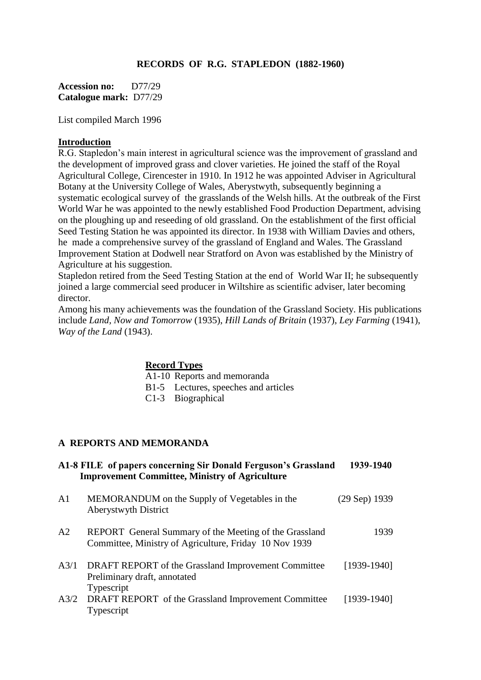### **RECORDS OF R.G. STAPLEDON (1882-1960)**

**Accession no:** D77/29 **Catalogue mark:** D77/29

List compiled March 1996

#### **Introduction**

R.G. Stapledon's main interest in agricultural science was the improvement of grassland and the development of improved grass and clover varieties. He joined the staff of the Royal Agricultural College, Cirencester in 1910. In 1912 he was appointed Adviser in Agricultural Botany at the University College of Wales, Aberystwyth, subsequently beginning a systematic ecological survey of the grasslands of the Welsh hills. At the outbreak of the First World War he was appointed to the newly established Food Production Department, advising on the ploughing up and reseeding of old grassland. On the establishment of the first official Seed Testing Station he was appointed its director. In 1938 with William Davies and others, he made a comprehensive survey of the grassland of England and Wales. The Grassland Improvement Station at Dodwell near Stratford on Avon was established by the Ministry of Agriculture at his suggestion.

Stapledon retired from the Seed Testing Station at the end of World War II; he subsequently joined a large commercial seed producer in Wiltshire as scientific adviser, later becoming director.

Among his many achievements was the foundation of the Grassland Society. His publications include *Land, Now and Tomorrow* (1935), *Hill Lands of Britain* (1937), *Ley Farming* (1941), *Way of the Land* (1943).

#### **Record Types**

A1-10 Reports and memoranda

- B1-5 Lectures, speeches and articles
- C1-3 Biographical

#### **A REPORTS AND MEMORANDA**

|                | A1-8 FILE of papers concerning Sir Donald Ferguson's Grassland<br><b>Improvement Committee, Ministry of Agriculture</b> | 1939-1940       |
|----------------|-------------------------------------------------------------------------------------------------------------------------|-----------------|
| A <sub>1</sub> | MEMORANDUM on the Supply of Vegetables in the<br>Aberystwyth District                                                   | $(29$ Sep) 1939 |
| A <sub>2</sub> | REPORT General Summary of the Meeting of the Grassland<br>Committee, Ministry of Agriculture, Friday 10 Nov 1939        | 1939            |
| A3/1           | DRAFT REPORT of the Grassland Improvement Committee<br>Preliminary draft, annotated<br>Typescript                       | $[1939-1940]$   |
| A3/2           | DRAFT REPORT of the Grassland Improvement Committee<br>Typescript                                                       | [1939-1940]     |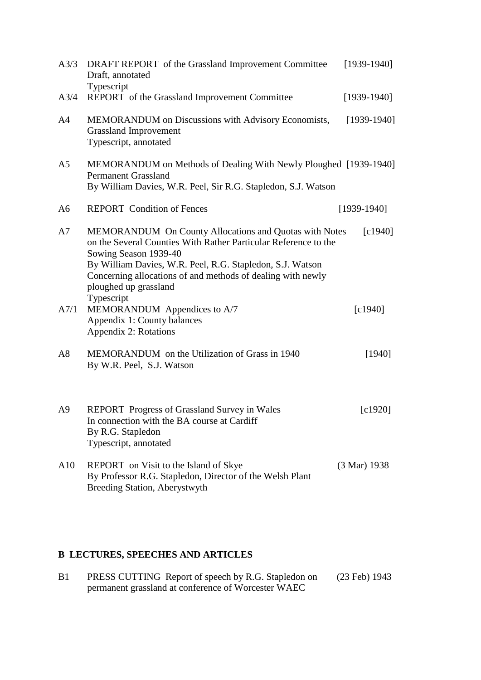| A3/3           | DRAFT REPORT of the Grassland Improvement Committee<br>Draft, annotated                                                                                                                                                                                                                                               | $[1939-1940]$          |
|----------------|-----------------------------------------------------------------------------------------------------------------------------------------------------------------------------------------------------------------------------------------------------------------------------------------------------------------------|------------------------|
| A3/4           | Typescript<br>REPORT of the Grassland Improvement Committee                                                                                                                                                                                                                                                           | $[1939-1940]$          |
| A <sub>4</sub> | <b>MEMORANDUM</b> on Discussions with Advisory Economists,<br><b>Grassland Improvement</b><br>Typescript, annotated                                                                                                                                                                                                   | $[1939-1940]$          |
| A <sub>5</sub> | MEMORANDUM on Methods of Dealing With Newly Ploughed [1939-1940]<br><b>Permanent Grassland</b><br>By William Davies, W.R. Peel, Sir R.G. Stapledon, S.J. Watson                                                                                                                                                       |                        |
| A6             | <b>REPORT</b> Condition of Fences                                                                                                                                                                                                                                                                                     | $[1939-1940]$          |
| A7             | MEMORANDUM On County Allocations and Quotas with Notes<br>on the Several Counties With Rather Particular Reference to the<br>Sowing Season 1939-40<br>By William Davies, W.R. Peel, R.G. Stapledon, S.J. Watson<br>Concerning allocations of and methods of dealing with newly<br>ploughed up grassland<br>Typescript | [c1940]                |
| A7/1           | MEMORANDUM Appendices to A/7<br>Appendix 1: County balances<br>Appendix 2: Rotations                                                                                                                                                                                                                                  | [c1940]                |
| A8             | MEMORANDUM on the Utilization of Grass in 1940<br>By W.R. Peel, S.J. Watson                                                                                                                                                                                                                                           | [1940]                 |
| A <sup>9</sup> | REPORT Progress of Grassland Survey in Wales<br>In connection with the BA course at Cardiff<br>By R.G. Stapledon<br>Typescript, annotated                                                                                                                                                                             | $\lceil c1920 \rceil$  |
| A10            | REPORT on Visit to the Island of Skye<br>By Professor R.G. Stapledon, Director of the Welsh Plant<br><b>Breeding Station, Aberystwyth</b>                                                                                                                                                                             | $(3 \text{ Mar}) 1938$ |

# **B LECTURES, SPEECHES AND ARTICLES**

| B <sub>1</sub> | PRESS CUTTING Report of speech by R.G. Stapledon on | $(23 \text{ Feb}) 1943$ |
|----------------|-----------------------------------------------------|-------------------------|
|                | permanent grassland at conference of Worcester WAEC |                         |